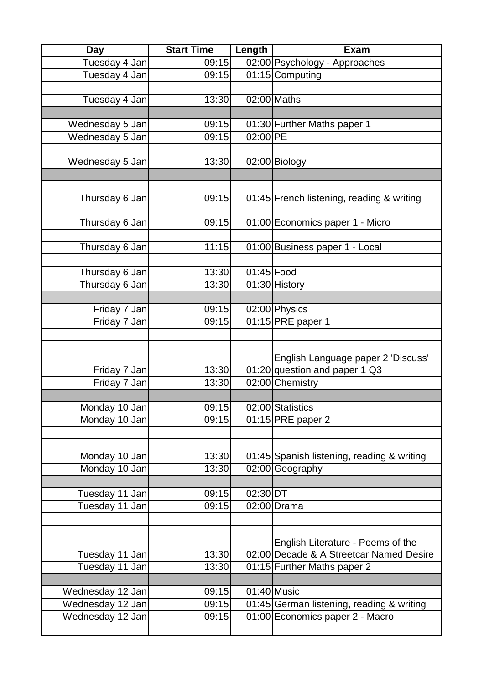| Day                              | <b>Start Time</b>  | Length     | <b>Exam</b>                                                                  |
|----------------------------------|--------------------|------------|------------------------------------------------------------------------------|
| Tuesday 4 Jan                    | 09:15              |            | 02:00 Psychology - Approaches                                                |
| Tuesday 4 Jan                    | 09:15              |            | 01:15 Computing                                                              |
|                                  |                    |            |                                                                              |
| Tuesday 4 Jan                    | 13:30              |            | 02:00 Maths                                                                  |
|                                  |                    |            |                                                                              |
| Wednesday 5 Jan                  | 09:15              |            | 01:30 Further Maths paper 1                                                  |
| Wednesday 5 Jan                  | 09:15              | 02:00 PE   |                                                                              |
|                                  |                    |            |                                                                              |
| Wednesday 5 Jan                  | 13:30              |            | $\overline{02:00}$ Biology                                                   |
|                                  |                    |            |                                                                              |
|                                  |                    |            |                                                                              |
| Thursday 6 Jan                   | 09:15              |            | 01:45 French listening, reading & writing                                    |
|                                  |                    |            |                                                                              |
| Thursday 6 Jan                   | 09:15              |            | 01:00 Economics paper 1 - Micro                                              |
| Thursday 6 Jan                   | 11:15              |            | 01:00 Business paper 1 - Local                                               |
|                                  |                    |            |                                                                              |
| Thursday 6 Jan                   | 13:30              | 01:45 Food |                                                                              |
| Thursday 6 Jan                   | 13:30              |            | 01:30 History                                                                |
|                                  |                    |            |                                                                              |
| Friday 7 Jan                     | $\overline{09:}15$ |            | 02:00 Physics                                                                |
| Friday 7 Jan                     | 09:15              |            | 01:15 PRE paper 1                                                            |
|                                  |                    |            |                                                                              |
| Friday 7 Jan                     | 13:30              |            | English Language paper 2 'Discuss'<br>01:20 question and paper 1 Q3          |
| Friday 7 Jan                     | 13:30              |            | 02:00 Chemistry                                                              |
|                                  |                    |            |                                                                              |
| Monday 10 Jan                    | 09:15              |            | 02:00 Statistics                                                             |
| Monday 10 Jan                    | 09:15              |            | $\overline{01:}15$ PRE paper 2                                               |
|                                  |                    |            |                                                                              |
|                                  |                    |            |                                                                              |
| Monday 10 Jan                    | 13:30              |            | 01:45 Spanish listening, reading & writing                                   |
| Monday 10 Jan                    | 13:30              |            | $\overline{02:}00$ Geography                                                 |
|                                  |                    |            |                                                                              |
| Tuesday 11 Jan                   | 09:15              | 02:30 DT   |                                                                              |
| Tuesday 11 Jan                   | 09:15              |            | $02:00$ Drama                                                                |
|                                  |                    |            |                                                                              |
|                                  |                    |            | English Literature - Poems of the<br>02:00 Decade & A Streetcar Named Desire |
| Tuesday 11 Jan<br>Tuesday 11 Jan | 13:30<br>13:30     |            |                                                                              |
|                                  |                    |            | 01:15 Further Maths paper 2                                                  |
| Wednesday 12 Jan                 | 09:15              |            | $01:40$ Music                                                                |
| Wednesday 12 Jan                 | 09:15              |            | 01:45 German listening, reading & writing                                    |
| Wednesday 12 Jan                 | 09:15              |            | 01:00 Economics paper 2 - Macro                                              |
|                                  |                    |            |                                                                              |
|                                  |                    |            |                                                                              |